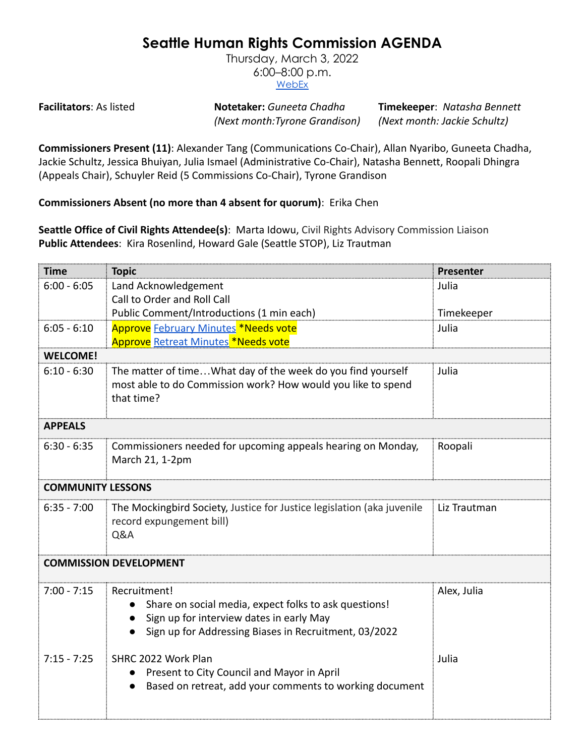## **Seattle Human Rights Commission AGENDA**

Thursday, March 3, 2022 6:00–8:00 p.m. [WebEx](https://www.seattle.gov/humanrights/calendar)

**Facilitators**: As listed **Notetaker:** *Guneeta Chadha* **Timekeeper**: *Natasha Bennett (Next month:Tyrone Grandison) (Next month: Jackie Schultz)*

**Commissioners Present (11)**: Alexander Tang (Communications Co-Chair), Allan Nyaribo, Guneeta Chadha, Jackie Schultz, Jessica Bhuiyan, Julia Ismael (Administrative Co-Chair), Natasha Bennett, Roopali Dhingra (Appeals Chair), Schuyler Reid (5 Commissions Co-Chair), Tyrone Grandison

**Commissioners Absent (no more than 4 absent for quorum)**: Erika Chen

**Seattle Office of Civil Rights Attendee(s)**: Marta Idowu, Civil Rights Advisory Commission Liaison **Public Attendees**: Kira Rosenlind, Howard Gale (Seattle STOP), Liz Trautman

| <b>Time</b>                   | <b>Topic</b>                                                           | Presenter    |  |
|-------------------------------|------------------------------------------------------------------------|--------------|--|
| $6:00 - 6:05$                 | Land Acknowledgement                                                   | Julia        |  |
|                               | Call to Order and Roll Call                                            |              |  |
|                               | Public Comment/Introductions (1 min each)                              | Timekeeper   |  |
| $6:05 - 6:10$                 | Approve February Minutes *Needs vote                                   | Julia        |  |
|                               | <b>Approve</b> Retreat Minutes *Needs vote                             |              |  |
| <b>WELCOME!</b>               |                                                                        |              |  |
| $6:10 - 6:30$                 | The matter of timeWhat day of the week do you find yourself            | Julia        |  |
|                               | most able to do Commission work? How would you like to spend           |              |  |
|                               | that time?                                                             |              |  |
|                               |                                                                        |              |  |
| <b>APPEALS</b>                |                                                                        |              |  |
| $6:30 - 6:35$                 | Commissioners needed for upcoming appeals hearing on Monday,           | Roopali      |  |
|                               | March 21, 1-2pm                                                        |              |  |
|                               |                                                                        |              |  |
| <b>COMMUNITY LESSONS</b>      |                                                                        |              |  |
| $6:35 - 7:00$                 | The Mockingbird Society, Justice for Justice legislation (aka juvenile | Liz Trautman |  |
|                               | record expungement bill)                                               |              |  |
|                               | Q&A                                                                    |              |  |
|                               |                                                                        |              |  |
| <b>COMMISSION DEVELOPMENT</b> |                                                                        |              |  |
| $7:00 - 7:15$                 | Recruitment!                                                           | Alex, Julia  |  |
|                               | Share on social media, expect folks to ask questions!                  |              |  |
|                               | Sign up for interview dates in early May                               |              |  |
|                               | Sign up for Addressing Biases in Recruitment, 03/2022                  |              |  |
|                               |                                                                        |              |  |
| $7:15 - 7:25$                 | SHRC 2022 Work Plan                                                    | Julia        |  |
|                               | Present to City Council and Mayor in April                             |              |  |
|                               | Based on retreat, add your comments to working document                |              |  |
|                               |                                                                        |              |  |
|                               |                                                                        |              |  |